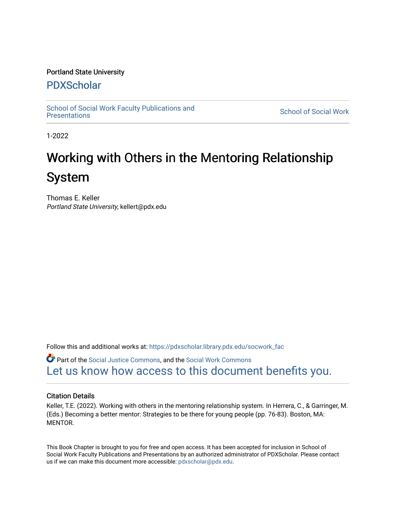#### Portland State University

#### [PDXScholar](https://pdxscholar.library.pdx.edu/)

[School of Social Work Faculty Publications and](https://pdxscholar.library.pdx.edu/socwork_fac)  [Presentations](https://pdxscholar.library.pdx.edu/socwork_fac) [School of Social Work](https://pdxscholar.library.pdx.edu/ssw) 

1-2022

## Working with Others in the Mentoring Relationship System

Thomas E. Keller Portland State University, kellert@pdx.edu

Follow this and additional works at: [https://pdxscholar.library.pdx.edu/socwork\\_fac](https://pdxscholar.library.pdx.edu/socwork_fac?utm_source=pdxscholar.library.pdx.edu%2Fsocwork_fac%2F577&utm_medium=PDF&utm_campaign=PDFCoverPages) 

**C** Part of the [Social Justice Commons,](http://network.bepress.com/hgg/discipline/1432?utm_source=pdxscholar.library.pdx.edu%2Fsocwork_fac%2F577&utm_medium=PDF&utm_campaign=PDFCoverPages) and the Social Work Commons [Let us know how access to this document benefits you.](http://library.pdx.edu/services/pdxscholar-services/pdxscholar-feedback/?ref=https://pdxscholar.library.pdx.edu/socwork_fac/577) 

#### Citation Details

Keller, T.E. (2022). Working with others in the mentoring relationship system. In Herrera, C., & Garringer, M. (Eds.) Becoming a better mentor: Strategies to be there for young people (pp. 76-83). Boston, MA: MENTOR.

This Book Chapter is brought to you for free and open access. It has been accepted for inclusion in School of Social Work Faculty Publications and Presentations by an authorized administrator of PDXScholar. Please contact us if we can make this document more accessible: [pdxscholar@pdx.edu.](mailto:pdxscholar@pdx.edu)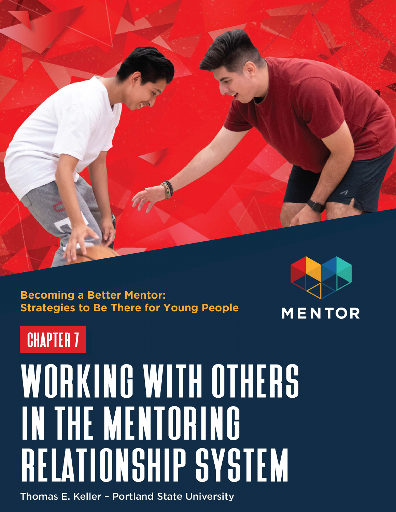

**Becoming a Better Mentor: Strategies to Be There for Young People** 



# **CHAPTER 7**

# WORKING WITH OTHERS IN THE MENTORING RELATIONSHIP SYSTEM

Thomas E. Keller - Portland State University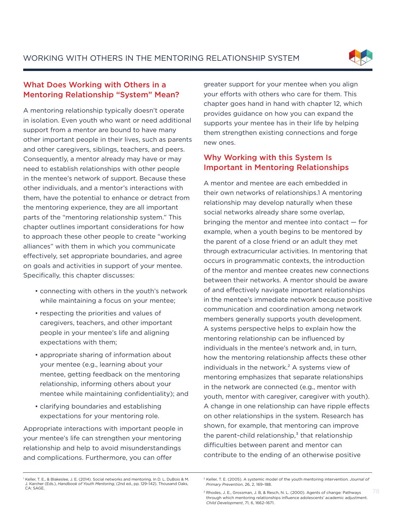WORKING WITH OTHERS IN THE MENTORING RELATIONSHIP SYSTEM



#### What Does Working with Others in a Mentoring Relationship "System" Mean?

A mentoring relationship typically doesn't operate in isolation. Even youth who want or need additional support from a mentor are bound to have many other important people in their lives, such as parents and other caregivers, siblings, teachers, and peers. Consequently, a mentor already may have or may need to establish relationships with other people in the mentee's network of support. Because these other individuals, and a mentor's interactions with them, have the potential to enhance or detract from the mentoring experience, they are all important parts of the "mentoring relationship system." This chapter outlines important considerations for how to approach these other people to create "working alliances" with them in which you communicate effectively, set appropriate boundaries, and agree on goals and activities in support of your mentee. Specifically, this chapter discusses:

- connecting with others in the youth's network while maintaining a focus on your mentee;
- respecting the priorities and values of caregivers, teachers, and other important people in your mentee's life and aligning expectations with them;
- appropriate sharing of information about your mentee (e.g., learning about your mentee, getting feedback on the mentoring relationship, informing others about your mentee while maintaining confidentiality); and
- clarifying boundaries and establishing expectations for your mentoring role.

Appropriate interactions with important people in your mentee's life can strengthen your mentoring relationship and help to avoid misunderstandings and complications. Furthermore, you can offer

greater support for your mentee when you align your efforts with others who care for them. This chapter goes hand in hand with chapter 12, which provides guidance on how you can expand the supports your mentee has in their life by helping them strengthen existing connections and forge new ones.

#### Why Working with this System Is Important in Mentoring Relationships

A mentor and mentee are each embedded in their own networks of relationships.1 A mentoring relationship may develop naturally when these social networks already share some overlap, bringing the mentor and mentee into contact — for example, when a youth begins to be mentored by the parent of a close friend or an adult they met through extracurricular activities. In mentoring that occurs in programmatic contexts, the introduction of the mentor and mentee creates new connections between their networks. A mentor should be aware of and effectively navigate important relationships in the mentee's immediate network because positive communication and coordination among network members generally supports youth development. A systems perspective helps to explain how the mentoring relationship can be influenced by individuals in the mentee's network and, in turn, how the mentoring relationship affects these other individuals in the network.² A systems view of mentoring emphasizes that separate relationships in the network are connected (e.g., mentor with youth, mentor with caregiver, caregiver with youth). A change in one relationship can have ripple effects on other relationships in the system. Research has shown, for example, that mentoring can improve the parent-child relationship, $3$  that relationship difficulties between parent and mentor can contribute to the ending of an otherwise positive

<sup>&</sup>lt;sup>1</sup> Keller, T. E., & Blakeslee, J. E. (2014). Social networks and mentoring. In D. L. DuBois & M. J. Karcher (Eds.), *Handbook of Youth Mentoring*, (2nd ed., pp. 129–142). Thousand Oaks, CA: SAGE.

<sup>2</sup> Keller, T. E. (2005). A systemic model of the youth mentoring intervention. *Journal of Primary Prevention*, 26, 2, 169–188.

<sup>3</sup> Rhodes, J. E., Grossman, J. B, & Resch, N. L. (2000). Agents of change: Pathways through which mentoring relationships influence adolescents' academic adjustment. *Child Development*, 71, 6, 1662–1671.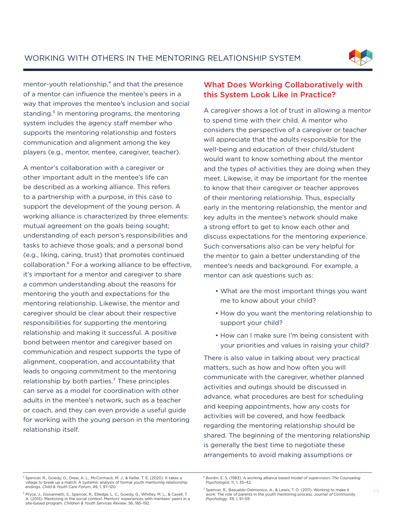

mentor-youth relationship, $4$  and that the presence of a mentor can influence the mentee's peers in a way that improves the mentee's inclusion and social standing.<sup>5</sup> In mentoring programs, the mentoring system includes the agency staff member who supports the mentoring relationship and fosters communication and alignment among the key players (e.g., mentor, mentee, caregiver, teacher).

A mentor's collaboration with a caregiver or other important adult in the mentee's life can be described as a working alliance. This refers to a partnership with a purpose, in this case to support the development of the young person. A working alliance is characterized by three elements: mutual agreement on the goals being sought; understanding of each person's responsibilities and tasks to achieve those goals; and a personal bond (e.g., liking, caring, trust) that promotes continued collaboration.⁶ For a working alliance to be effective, it's important for a mentor and caregiver to share a common understanding about the reasons for mentoring the youth and expectations for the mentoring relationship. Likewise, the mentor and caregiver should be clear about their respective responsibilities for supporting the mentoring relationship and making it successful. A positive bond between mentor and caregiver based on communication and respect supports the type of alignment, cooperation, and accountability that leads to ongoing commitment to the mentoring relationship by both parties.<sup>7</sup> These principles can serve as a model for coordination with other adults in the mentee's network, such as a teacher or coach, and they can even provide a useful guide for working with the young person in the mentoring relationship itself.

#### What Does Working Collaboratively with this System Look Like in Practice?

A caregiver shows a lot of trust in allowing a mentor to spend time with their child. A mentor who considers the perspective of a caregiver or teacher will appreciate that the adults responsible for the well-being and education of their child/student would want to know something about the mentor and the types of activities they are doing when they meet. Likewise, it may be important for the mentee to know that their caregiver or teacher approves of their mentoring relationship. Thus, especially early in the mentoring relationship, the mentor and key adults in the mentee's network should make a strong effort to get to know each other and discuss expectations for the mentoring experience. Such conversations also can be very helpful for the mentor to gain a better understanding of the mentee's needs and background. For example, a mentor can ask questions such as:

- What are the most important things you want me to know about your child?
- How do you want the mentoring relationship to support your child?
- How can I make sure I'm being consistent with your priorities and values in raising your child?

There is also value in talking about very practical matters, such as how and how often you will communicate with the caregiver, whether planned activities and outings should be discussed in advance, what procedures are best for scheduling and keeping appointments, how any costs for activities will be covered, and how feedback regarding the mentoring relationship should be shared. The beginning of the mentoring relationship is generally the best time to negotiate these arrangements to avoid making assumptions or

<sup>&</sup>lt;sup>4</sup> Spencer, R., Gowdy, G., Drew, A. L., McCormack, M. J., & Keller, T. E. (2020). It takes a village to break up a match: A systemic analysis of formal youth mentoring relationship endings. *Child & Youth Care Forum*, 49, 1, 97–120.

⁶ Bordin, E. S. (1983). A working alliance based model of supervision. *The Counseling Psychologist*, 11, 1, 35–42.

<sup>&</sup>lt;sup>5</sup> Pryce, J., Giovannetti, S., Spencer, R., Elledge, L. C., Gowdy, G., Whitley, M. L., & Cavell, T. A. (2015). Mentoring in the social context: Mentors' experiences with mentees' peers in a site-based program. *Children & Youth Services Review*, 56, 185–192.

<sup>&</sup>lt;sup>7</sup> Spencer, R., Basualdo-Delmonico, A., & Lewis, T. O. (2011). Working to make it work: The role of parents in the youth mentoring process. J*ournal of Community Psychology*, 39, 1, 51–59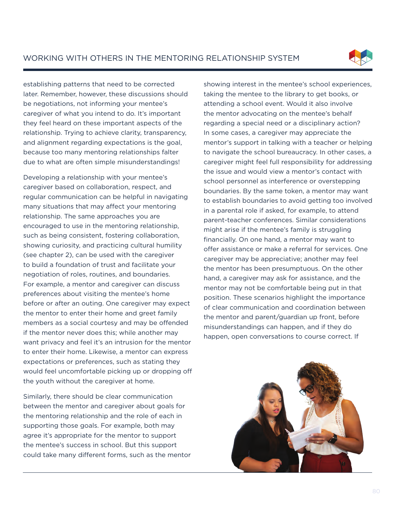

establishing patterns that need to be corrected later. Remember, however, these discussions should be negotiations, not informing your mentee's caregiver of what you intend to do. It's important they feel heard on these important aspects of the relationship. Trying to achieve clarity, transparency, and alignment regarding expectations is the goal, because too many mentoring relationships falter due to what are often simple misunderstandings!

Developing a relationship with your mentee's caregiver based on collaboration, respect, and regular communication can be helpful in navigating many situations that may affect your mentoring relationship. The same approaches you are encouraged to use in the mentoring relationship, such as being consistent, fostering collaboration, showing curiosity, and practicing cultural humility (see chapter 2), can be used with the caregiver to build a foundation of trust and facilitate your negotiation of roles, routines, and boundaries. For example, a mentor and caregiver can discuss preferences about visiting the mentee's home before or after an outing. One caregiver may expect the mentor to enter their home and greet family members as a social courtesy and may be offended if the mentor never does this; while another may want privacy and feel it's an intrusion for the mentor to enter their home. Likewise, a mentor can express expectations or preferences, such as stating they would feel uncomfortable picking up or dropping off the youth without the caregiver at home.

Similarly, there should be clear communication between the mentor and caregiver about goals for the mentoring relationship and the role of each in supporting those goals. For example, both may agree it's appropriate for the mentor to support the mentee's success in school. But this support could take many different forms, such as the mentor showing interest in the mentee's school experiences, taking the mentee to the library to get books, or attending a school event. Would it also involve the mentor advocating on the mentee's behalf regarding a special need or a disciplinary action? In some cases, a caregiver may appreciate the mentor's support in talking with a teacher or helping to navigate the school bureaucracy. In other cases, a caregiver might feel full responsibility for addressing the issue and would view a mentor's contact with school personnel as interference or overstepping boundaries. By the same token, a mentor may want to establish boundaries to avoid getting too involved in a parental role if asked, for example, to attend parent-teacher conferences. Similar considerations might arise if the mentee's family is struggling financially. On one hand, a mentor may want to offer assistance or make a referral for services. One caregiver may be appreciative; another may feel the mentor has been presumptuous. On the other hand, a caregiver may ask for assistance, and the mentor may not be comfortable being put in that position. These scenarios highlight the importance of clear communication and coordination between the mentor and parent/guardian up front, before misunderstandings can happen, and if they do happen, open conversations to course correct. If

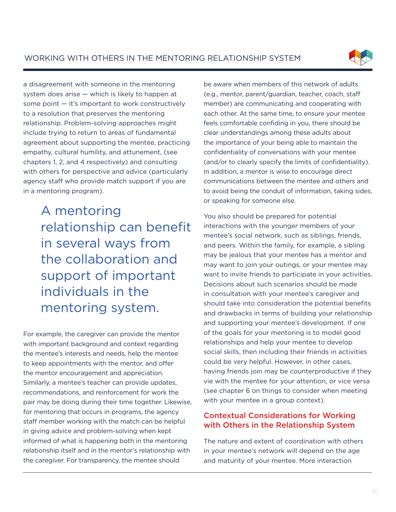WORKING WITH OTHERS IN THE MENTORING RELATIONSHIP SYSTEM



a disagreement with someone in the mentoring system does arise — which is likely to happen at some point — it's important to work constructively to a resolution that preserves the mentoring relationship. Problem-solving approaches might include trying to return to areas of fundamental agreement about supporting the mentee, practicing empathy, cultural humility, and attunement, (see chapters 1, 2, and 4 respectively) and consulting with others for perspective and advice (particularly agency staff who provide match support if you are in a mentoring program).

> A mentoring relationship can benefit in several ways from the collaboration and support of important individuals in the mentoring system.

For example, the caregiver can provide the mentor with important background and context regarding the mentee's interests and needs, help the mentee to keep appointments with the mentor, and offer the mentor encouragement and appreciation. Similarly, a mentee's teacher can provide updates, recommendations, and reinforcement for work the pair may be doing during their time together. Likewise, for mentoring that occurs in programs, the agency staff member working with the match can be helpful in giving advice and problem-solving when kept informed of what is happening both in the mentoring relationship itself and in the mentor's relationship with the caregiver. For transparency, the mentee should

be aware when members of this network of adults (e.g., mentor, parent/guardian, teacher, coach, staff member) are communicating and cooperating with each other. At the same time, to ensure your mentee feels comfortable confiding in you, there should be clear understandings among these adults about the importance of your being able to maintain the confidentiality of conversations with your mentee (and/or to clearly specify the limits of confidentiality). In addition, a mentor is wise to encourage direct communications between the mentee and others and to avoid being the conduit of information, taking sides, or speaking for someone else.

You also should be prepared for potential interactions with the younger members of your mentee's social network, such as siblings, friends, and peers. Within the family, for example, a sibling may be jealous that your mentee has a mentor and may want to join your outings, or your mentee may want to invite friends to participate in your activities. Decisions about such scenarios should be made in consultation with your mentee's caregiver and should take into consideration the potential benefits and drawbacks in terms of building your relationship and supporting your mentee's development. If one of the goals for your mentoring is to model good relationships and help your mentee to develop social skills, then including their friends in activities could be very helpful. However, in other cases, having friends join may be counterproductive if they vie with the mentee for your attention, or vice versa (see chapter 6 on things to consider when meeting with your mentee in a group context).

#### Contextual Considerations for Working with Others in the Relationship System

The nature and extent of coordination with others in your mentee's network will depend on the age and maturity of your mentee. More interaction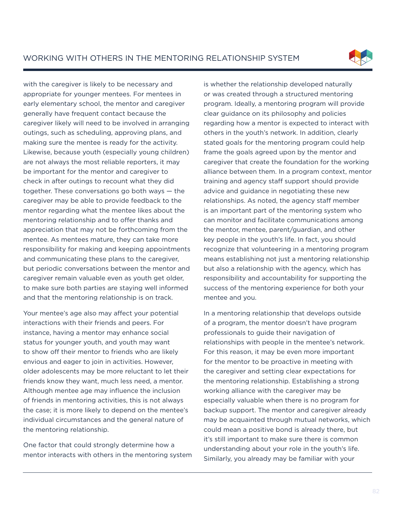

with the caregiver is likely to be necessary and appropriate for younger mentees. For mentees in early elementary school, the mentor and caregiver generally have frequent contact because the caregiver likely will need to be involved in arranging outings, such as scheduling, approving plans, and making sure the mentee is ready for the activity. Likewise, because youth (especially young children) are not always the most reliable reporters, it may be important for the mentor and caregiver to check in after outings to recount what they did together. These conversations go both ways — the caregiver may be able to provide feedback to the mentor regarding what the mentee likes about the mentoring relationship and to offer thanks and appreciation that may not be forthcoming from the mentee. As mentees mature, they can take more responsibility for making and keeping appointments and communicating these plans to the caregiver, but periodic conversations between the mentor and caregiver remain valuable even as youth get older, to make sure both parties are staying well informed and that the mentoring relationship is on track.

Your mentee's age also may affect your potential interactions with their friends and peers. For instance, having a mentor may enhance social status for younger youth, and youth may want to show off their mentor to friends who are likely envious and eager to join in activities. However, older adolescents may be more reluctant to let their friends know they want, much less need, a mentor. Although mentee age may influence the inclusion of friends in mentoring activities, this is not always the case; it is more likely to depend on the mentee's individual circumstances and the general nature of the mentoring relationship.

One factor that could strongly determine how a mentor interacts with others in the mentoring system is whether the relationship developed naturally or was created through a structured mentoring program. Ideally, a mentoring program will provide clear guidance on its philosophy and policies regarding how a mentor is expected to interact with others in the youth's network. In addition, clearly stated goals for the mentoring program could help frame the goals agreed upon by the mentor and caregiver that create the foundation for the working alliance between them. In a program context, mentor training and agency staff support should provide advice and guidance in negotiating these new relationships. As noted, the agency staff member is an important part of the mentoring system who can monitor and facilitate communications among the mentor, mentee, parent/guardian, and other key people in the youth's life. In fact, you should recognize that volunteering in a mentoring program means establishing not just a mentoring relationship but also a relationship with the agency, which has responsibility and accountability for supporting the success of the mentoring experience for both your mentee and you.

In a mentoring relationship that develops outside of a program, the mentor doesn't have program professionals to guide their navigation of relationships with people in the mentee's network. For this reason, it may be even more important for the mentor to be proactive in meeting with the caregiver and setting clear expectations for the mentoring relationship. Establishing a strong working alliance with the caregiver may be especially valuable when there is no program for backup support. The mentor and caregiver already may be acquainted through mutual networks, which could mean a positive bond is already there, but it's still important to make sure there is common understanding about your role in the youth's life. Similarly, you already may be familiar with your